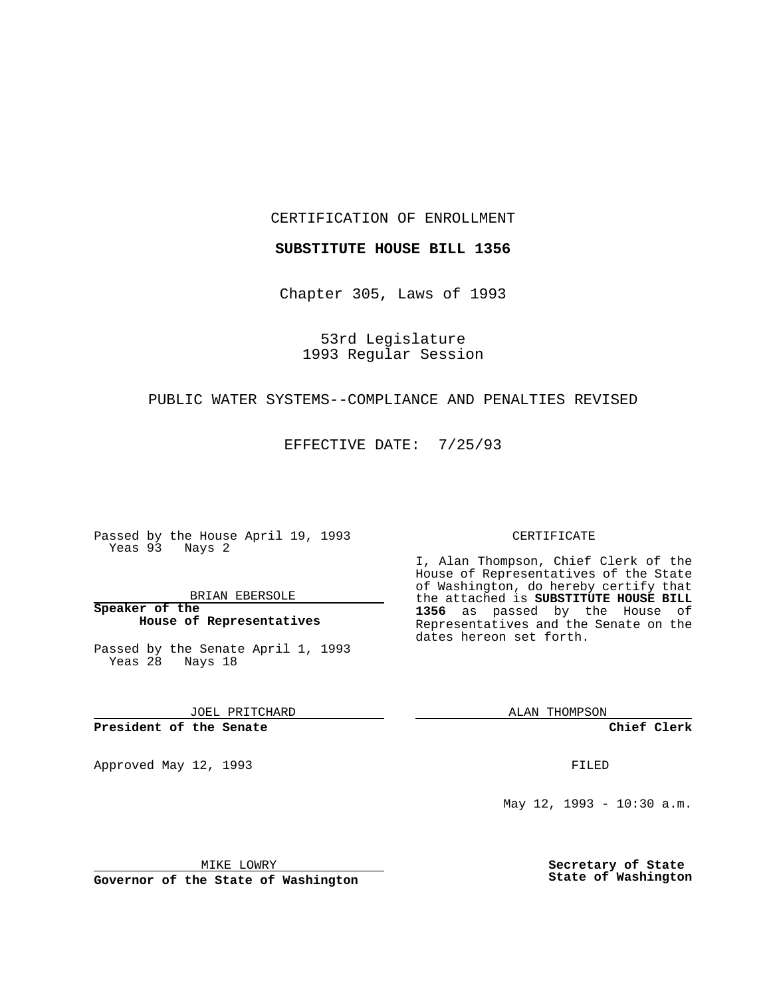CERTIFICATION OF ENROLLMENT

**SUBSTITUTE HOUSE BILL 1356**

Chapter 305, Laws of 1993

53rd Legislature 1993 Regular Session

#### PUBLIC WATER SYSTEMS--COMPLIANCE AND PENALTIES REVISED

EFFECTIVE DATE: 7/25/93

Passed by the House April 19, 1993 Yeas 93 Nays 2

BRIAN EBERSOLE

**Speaker of the House of Representatives**

Passed by the Senate April 1, 1993 Yeas 28 Nays 18

JOEL PRITCHARD

#### **President of the Senate**

Approved May 12, 1993 **FILED** 

#### CERTIFICATE

I, Alan Thompson, Chief Clerk of the House of Representatives of the State of Washington, do hereby certify that the attached is **SUBSTITUTE HOUSE BILL 1356** as passed by the House of Representatives and the Senate on the dates hereon set forth.

ALAN THOMPSON

**Chief Clerk**

May 12, 1993 - 10:30 a.m.

MIKE LOWRY

**Governor of the State of Washington**

**Secretary of State State of Washington**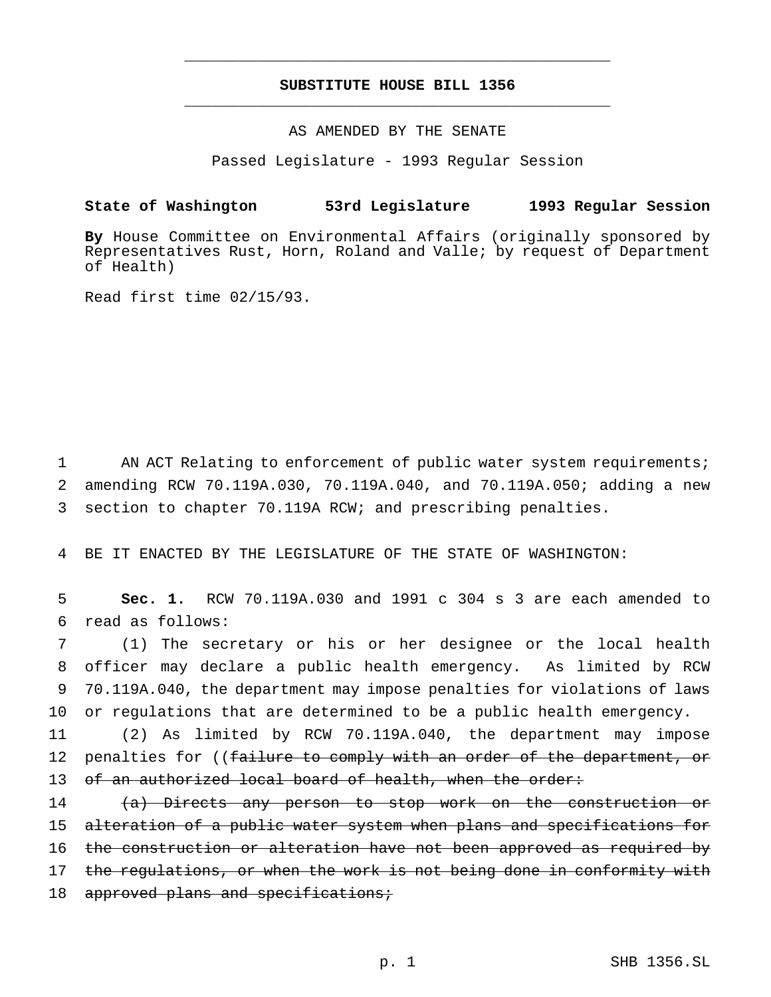# **SUBSTITUTE HOUSE BILL 1356** \_\_\_\_\_\_\_\_\_\_\_\_\_\_\_\_\_\_\_\_\_\_\_\_\_\_\_\_\_\_\_\_\_\_\_\_\_\_\_\_\_\_\_\_\_\_\_

\_\_\_\_\_\_\_\_\_\_\_\_\_\_\_\_\_\_\_\_\_\_\_\_\_\_\_\_\_\_\_\_\_\_\_\_\_\_\_\_\_\_\_\_\_\_\_

### AS AMENDED BY THE SENATE

Passed Legislature - 1993 Regular Session

# **State of Washington 53rd Legislature 1993 Regular Session**

**By** House Committee on Environmental Affairs (originally sponsored by Representatives Rust, Horn, Roland and Valle; by request of Department of Health)

Read first time 02/15/93.

1 AN ACT Relating to enforcement of public water system requirements; 2 amending RCW 70.119A.030, 70.119A.040, and 70.119A.050; adding a new 3 section to chapter 70.119A RCW; and prescribing penalties.

4 BE IT ENACTED BY THE LEGISLATURE OF THE STATE OF WASHINGTON:

5 **Sec. 1.** RCW 70.119A.030 and 1991 c 304 s 3 are each amended to 6 read as follows:

 (1) The secretary or his or her designee or the local health officer may declare a public health emergency. As limited by RCW 70.119A.040, the department may impose penalties for violations of laws or regulations that are determined to be a public health emergency.

11 (2) As limited by RCW 70.119A.040, the department may impose 12 penalties for ((failure to comply with an order of the department, or 13 of an authorized local board of health, when the order:

14 (a) Directs any person to stop work on the construction or 15 alteration of a public water system when plans and specifications for 16 the construction or alteration have not been approved as required by 17 the regulations, or when the work is not being done in conformity with 18 approved plans and specifications;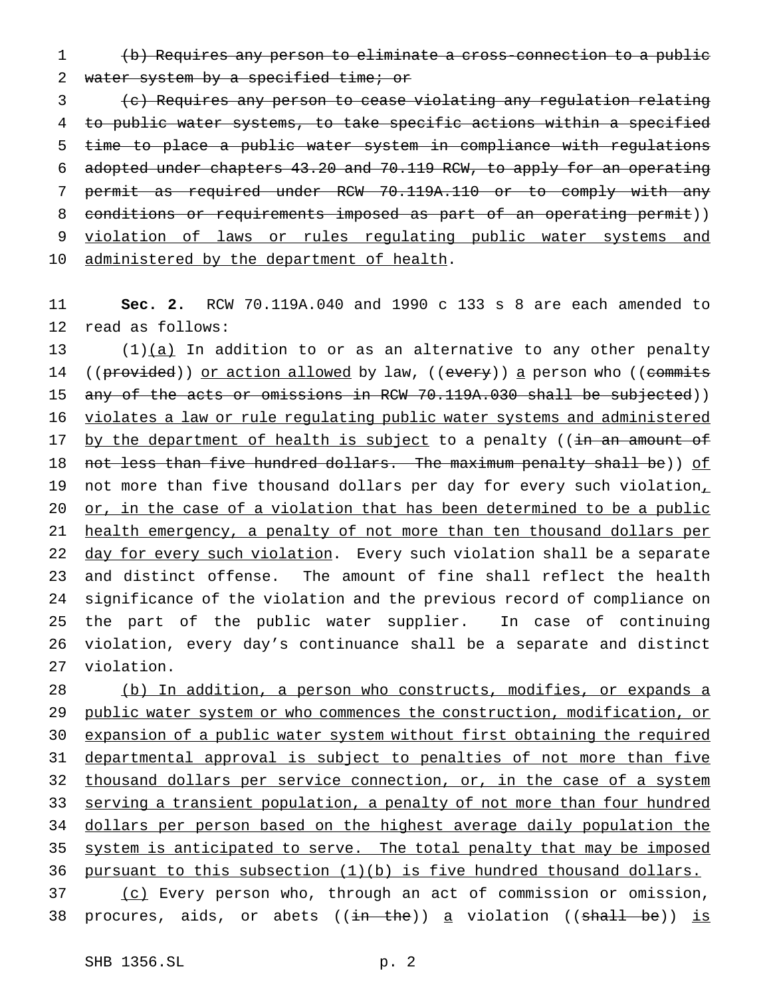1 (b) Requires any person to eliminate a cross-connection to a public 2 water system by a specified time; or

3 (c) Requires any person to cease violating any regulation relating to public water systems, to take specific actions within a specified time to place a public water system in compliance with regulations adopted under chapters 43.20 and 70.119 RCW, to apply for an operating permit as required under RCW 70.119A.110 or to comply with any 8 conditions or requirements imposed as part of an operating permit)) violation of laws or rules regulating public water systems and 10 administered by the department of health.

11 **Sec. 2.** RCW 70.119A.040 and 1990 c 133 s 8 are each amended to 12 read as follows:

13  $(1)(a)$  In addition to or as an alternative to any other penalty 14 ((provided)) or action allowed by law, ((every)) a person who ((commits 15 any of the acts or omissions in RCW 70.119A.030 shall be subjected)) 16 violates a law or rule regulating public water systems and administered 17 by the department of health is subject to a penalty ((in an amount of 18 not less than five hundred dollars. The maximum penalty shall be)) of 19 not more than five thousand dollars per day for every such violation, 20 or, in the case of a violation that has been determined to be a public 21 health emergency, a penalty of not more than ten thousand dollars per 22 day for every such violation. Every such violation shall be a separate 23 and distinct offense. The amount of fine shall reflect the health 24 significance of the violation and the previous record of compliance on 25 the part of the public water supplier. In case of continuing 26 violation, every day's continuance shall be a separate and distinct 27 violation.

28 (b) In addition, a person who constructs, modifies, or expands a 29 public water system or who commences the construction, modification, or 30 expansion of a public water system without first obtaining the required 31 departmental approval is subject to penalties of not more than five 32 thousand dollars per service connection, or, in the case of a system 33 serving a transient population, a penalty of not more than four hundred 34 dollars per person based on the highest average daily population the 35 system is anticipated to serve. The total penalty that may be imposed 36 pursuant to this subsection (1)(b) is five hundred thousand dollars. 37 (c) Every person who, through an act of commission or omission,

38 procures, aids, or abets  $((\frac{in - the}{n})$  a violation  $((\frac{shall - be}{n})$  is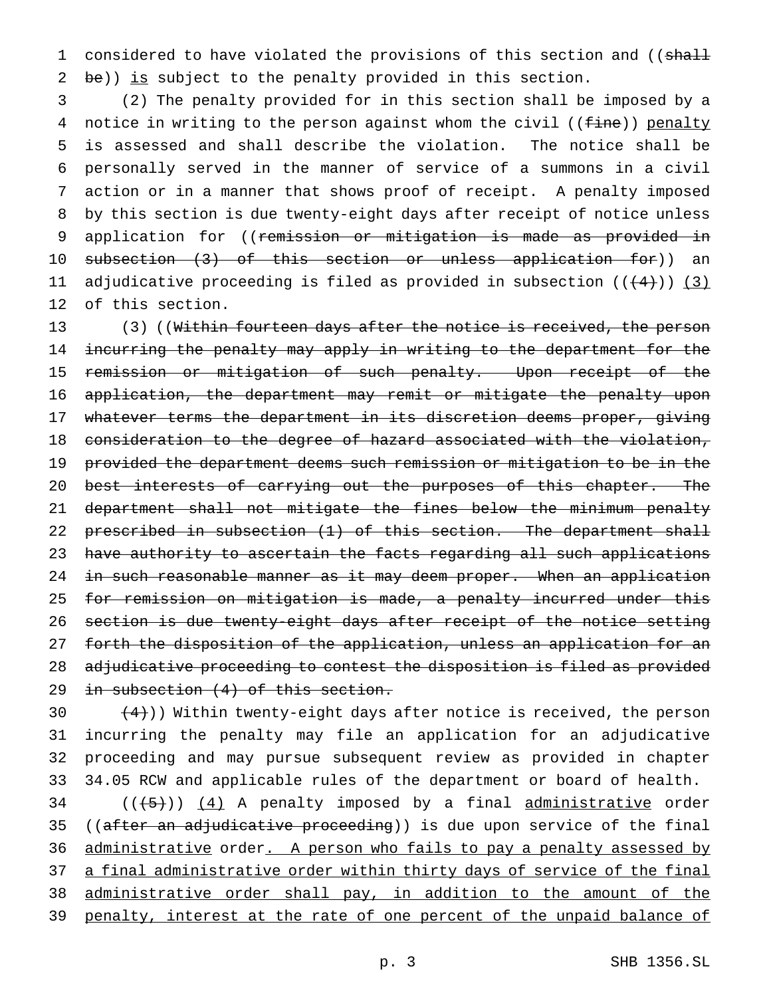1 considered to have violated the provisions of this section and ((shall 2 be)) is subject to the penalty provided in this section.

3 (2) The penalty provided for in this section shall be imposed by a 4 notice in writing to the person against whom the civil ((fine)) penalty 5 is assessed and shall describe the violation. The notice shall be 6 personally served in the manner of service of a summons in a civil 7 action or in a manner that shows proof of receipt. A penalty imposed 8 by this section is due twenty-eight days after receipt of notice unless 9 application for ((remission or mitigation is made as provided in 10 subsection (3) of this section or unless application for)) an 11 adjudicative proceeding is filed as provided in subsection  $((+4))$  (3) 12 of this section.

13 (3) ((Within fourteen days after the notice is received, the person 14 incurring the penalty may apply in writing to the department for the 15 remission or mitigation of such penalty. Upon receipt of the 16 application, the department may remit or mitigate the penalty upon 17 whatever terms the department in its discretion deems proper, giving 18 consideration to the degree of hazard associated with the violation, 19 provided the department deems such remission or mitigation to be in the 20 best interests of carrying out the purposes of this chapter. The 21 department shall not mitigate the fines below the minimum penalty 22 prescribed in subsection (1) of this section. The department shall 23 have authority to ascertain the facts regarding all such applications 24 in such reasonable manner as it may deem proper. When an application 25 for remission on mitigation is made, a penalty incurred under this 26 section is due twenty-eight days after receipt of the notice setting 27 forth the disposition of the application, unless an application for an 28 adjudicative proceeding to contest the disposition is filed as provided 29 in subsection (4) of this section.

 $(4)$ )) Within twenty-eight days after notice is received, the person incurring the penalty may file an application for an adjudicative proceeding and may pursue subsequent review as provided in chapter 34.05 RCW and applicable rules of the department or board of health.

 $34$  ( $(\overline{\smash{+5}})$ )  $\underline{(4)}$  A penalty imposed by a final administrative order 35 ((after an adjudicative proceeding)) is due upon service of the final 36 administrative order. A person who fails to pay a penalty assessed by 37 a final administrative order within thirty days of service of the final 38 administrative order shall pay, in addition to the amount of the 39 penalty, interest at the rate of one percent of the unpaid balance of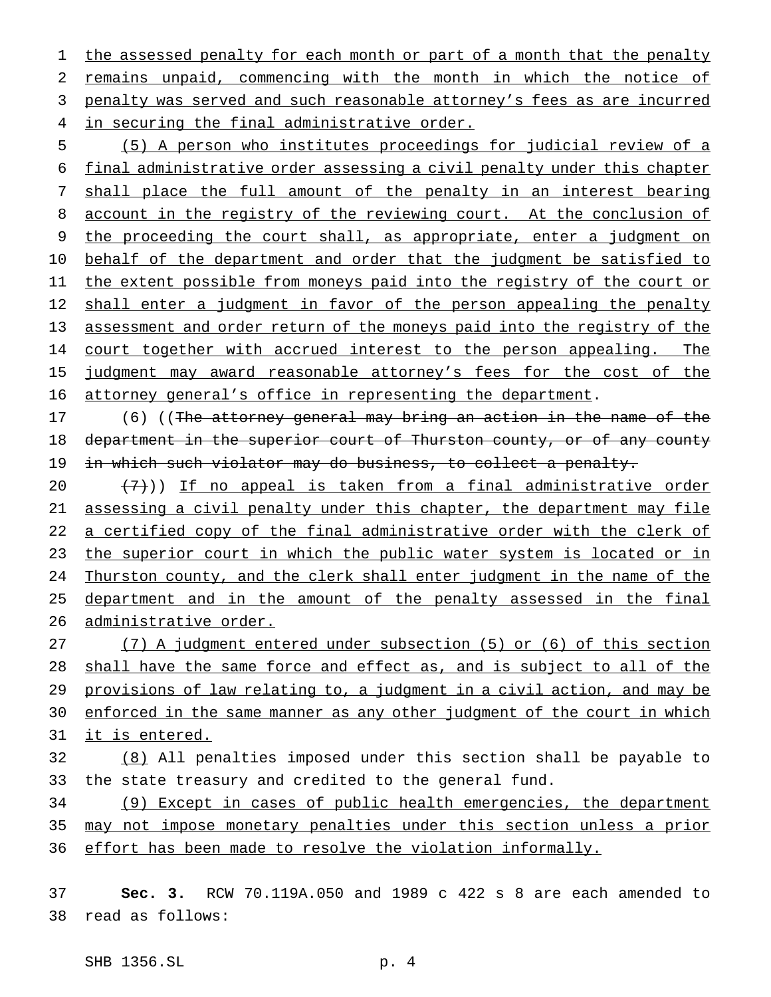1 the assessed penalty for each month or part of a month that the penalty remains unpaid, commencing with the month in which the notice of penalty was served and such reasonable attorney's fees as are incurred in securing the final administrative order.

5 (5) A person who institutes proceedings for judicial review of a 6 final administrative order assessing a civil penalty under this chapter 7 shall place the full amount of the penalty in an interest bearing 8 account in the registry of the reviewing court. At the conclusion of 9 the proceeding the court shall, as appropriate, enter a judgment on 10 behalf of the department and order that the judgment be satisfied to 11 the extent possible from moneys paid into the registry of the court or 12 shall enter a judgment in favor of the person appealing the penalty 13 assessment and order return of the moneys paid into the registry of the 14 court together with accrued interest to the person appealing. The 15 judgment may award reasonable attorney's fees for the cost of the 16 attorney general's office in representing the department.

17 (6) ((The attorney general may bring an action in the name of the 18 department in the superior court of Thurston county, or of any county 19 in which such violator may do business, to collect a penalty.

20  $(7)$ )) If no appeal is taken from a final administrative order 21 assessing a civil penalty under this chapter, the department may file 22 a certified copy of the final administrative order with the clerk of 23 the superior court in which the public water system is located or in 24 Thurston county, and the clerk shall enter judgment in the name of the 25 department and in the amount of the penalty assessed in the final 26 administrative order.

 (7) A judgment entered under subsection (5) or (6) of this section shall have the same force and effect as, and is subject to all of the provisions of law relating to, a judgment in a civil action, and may be 30 enforced in the same manner as any other judgment of the court in which it is entered.

32 (8) All penalties imposed under this section shall be payable to 33 the state treasury and credited to the general fund.

34 (9) Except in cases of public health emergencies, the department 35 may not impose monetary penalties under this section unless a prior 36 effort has been made to resolve the violation informally.

37 **Sec. 3.** RCW 70.119A.050 and 1989 c 422 s 8 are each amended to 38 read as follows:

SHB 1356.SL p. 4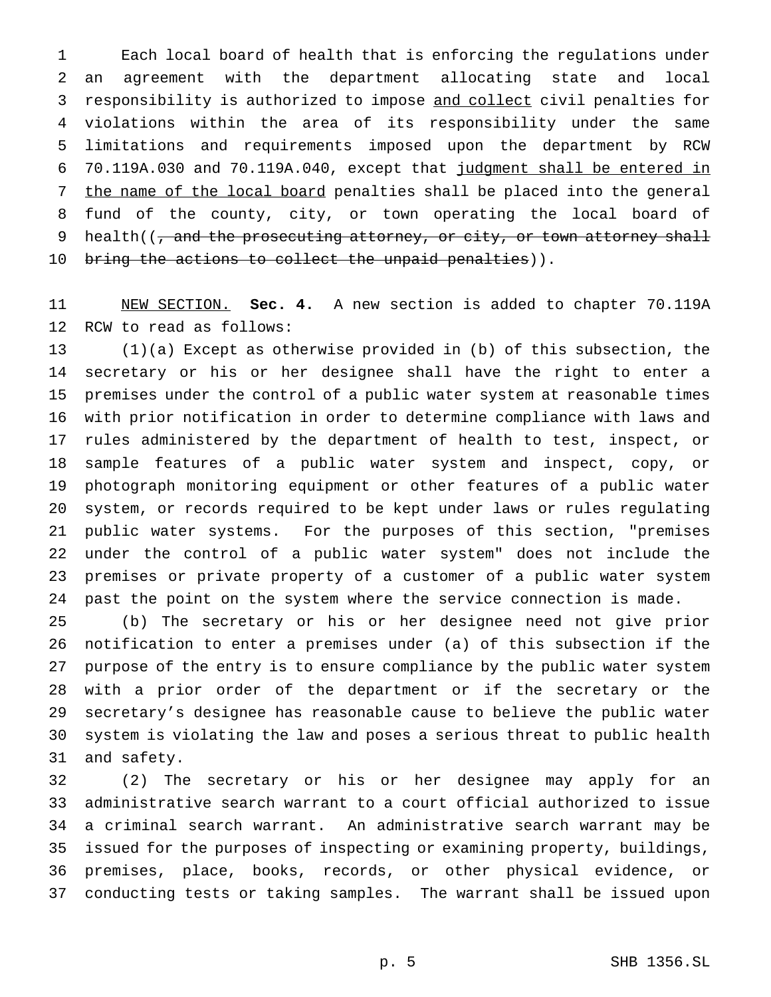Each local board of health that is enforcing the regulations under an agreement with the department allocating state and local responsibility is authorized to impose and collect civil penalties for violations within the area of its responsibility under the same limitations and requirements imposed upon the department by RCW 70.119A.030 and 70.119A.040, except that judgment shall be entered in 7 the name of the local board penalties shall be placed into the general fund of the county, city, or town operating the local board of 9 health( $\left($ , and the prosecuting attorney, or city, or town attorney shall 10 bring the actions to collect the unpaid penalties)).

 NEW SECTION. **Sec. 4.** A new section is added to chapter 70.119A RCW to read as follows:

 (1)(a) Except as otherwise provided in (b) of this subsection, the secretary or his or her designee shall have the right to enter a premises under the control of a public water system at reasonable times with prior notification in order to determine compliance with laws and rules administered by the department of health to test, inspect, or sample features of a public water system and inspect, copy, or photograph monitoring equipment or other features of a public water system, or records required to be kept under laws or rules regulating public water systems. For the purposes of this section, "premises under the control of a public water system" does not include the premises or private property of a customer of a public water system past the point on the system where the service connection is made.

 (b) The secretary or his or her designee need not give prior notification to enter a premises under (a) of this subsection if the purpose of the entry is to ensure compliance by the public water system with a prior order of the department or if the secretary or the secretary's designee has reasonable cause to believe the public water system is violating the law and poses a serious threat to public health and safety.

 (2) The secretary or his or her designee may apply for an administrative search warrant to a court official authorized to issue a criminal search warrant. An administrative search warrant may be issued for the purposes of inspecting or examining property, buildings, premises, place, books, records, or other physical evidence, or conducting tests or taking samples. The warrant shall be issued upon